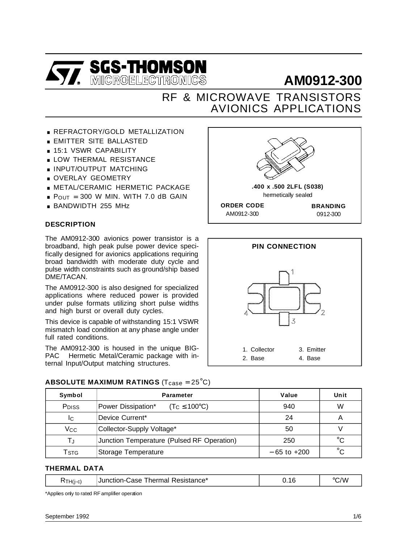

# **AM0912-300**

## AVIONICS APPLICATIONS RF & MICROWAVE TRANSISTORS

- **REFRACTORY/GOLD METALLIZATION**
- **REFRACTORY/GOLD META**<br>**EMITTER SITE BALLASTED** ■ REFRACTORT/GOLD ME<br>■ 15:1 VSWR CAPABILITY<br>■ 15:1 VSWR CAPABILITY
- 
- EMITTER SITE BALLASTED<br>■ 15:1 VSWR CAPABILITY<br>■ LOW THERMAL RESISTANCE LOW THERMAL RESISTAND
- **DE INPUT/OUTPUT MATCHING<br>• OVERLAY GEOMETRY**
- 
- . METAL/CERAMIC HERMETIC PACKAGE
- OVERLAT GEOMETRT<br>■ METAL/CERAMIC HERMETIC PACKAGE<br>■ P<sub>OUT</sub> = 300 W MIN. WITH 7.0 dB GAIN  $P_{OUT} = 300$  W MIN. W<br> $B_{B} = BANDWIDTH$  255 MHz
- 

#### **DESCRIPTION**

The AM0912-300 avionics power transistor is a broadband, high peak pulse power device specifically designed for avionics applications requiring broad bandwidth with moderate duty cycle and pulse width constraints such as ground/ship based DME/TACAN.

The AM0912-300 is also designed for specialized applications where reduced power is provided under pulse formats utilizing short pulse widths and high burst or overall duty cycles.

This device is capable of withstanding 15:1 VSWR mismatch load condition at any phase angle under full rated conditions.

The AM0912-300 is housed in the unique BIG-PAC<sup>TM</sup> Hermetic Metal/Ceramic package with internal Input/Output matching structures.





| Symbol | Parameter |
|--------|-----------|
|        |           |

**ABSOLUTE MAXIMUM RATINGS** (T<sub>case</sub> = 25<sup>°</sup>C)

| Symbol            | <b>Parameter</b>                                | Value           | Unit         |
|-------------------|-------------------------------------------------|-----------------|--------------|
| P <sub>DISS</sub> | Power Dissipation*<br>$(T_C \leq 100^{\circ}C)$ | 940             | W            |
| IC                | Device Current*                                 | 24              | Α            |
| Vcc               | Collector-Supply Voltage*                       | 50              |              |
| ТJ                | Junction Temperature (Pulsed RF Operation)      | 250             | $^{\circ}C$  |
| Tstg              | Storage Temperature                             | $-65$ to $+200$ | $^{\circ}$ C |

#### **THERMAL DATA**

| C/W<br>$\mathsf{XTH}(j-c)$ |
|----------------------------|
|----------------------------|

\*Applies only to rated RF amplifier operation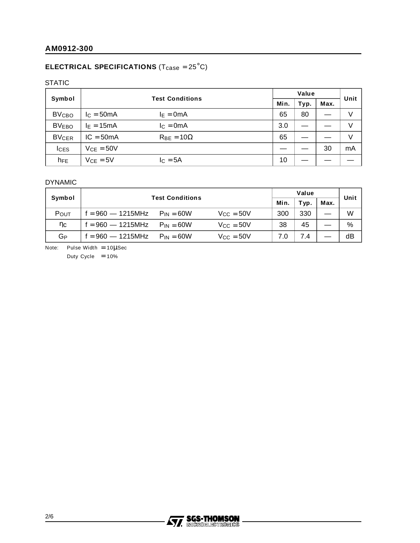### **ELECTRICAL SPECIFICATIONS** (T<sub>case</sub> = 25<sup>°</sup>C)

#### STATIC

|                         | <b>Test Conditions</b> |                     | Value |      |      | Unit |    |
|-------------------------|------------------------|---------------------|-------|------|------|------|----|
| Symbol                  |                        |                     | Min.  | Typ. | Max. |      |    |
| <b>BV<sub>CBO</sub></b> | $IC = 50mA$            | $I_E = 0mA$         |       | 65   | 80   |      | V  |
| <b>BVEBO</b>            | $I_E = 15mA$           | $lc = 0mA$          |       | 3.0  |      |      | V  |
| <b>BVCER</b>            | $IC = 50mA$            | $R_{BE} = 10\Omega$ |       | 65   |      |      | V  |
| <b>ICES</b>             | $VCF = 50V$            |                     |       |      |      | 30   | mA |
| $h_{FE}$                | $V_{CE} = 5V$          | $IC = 5A$           |       | 10   |      |      |    |

#### DYNAMIC

|                     | <b>Test Conditions</b> |                |                    | Value |      |      | Unit |
|---------------------|------------------------|----------------|--------------------|-------|------|------|------|
| Symbol              |                        |                |                    | Min.  | Typ. | Max. |      |
| POUT                | $f = 960 - 1215$ MHz   | $P_{IN} = 60W$ | $V_{\rm CC} = 50V$ | 300   | 330  |      | W    |
| $\eta_{\mathbf{C}}$ | $f = 960 - 1215 MHz$   | $P_{IN} = 60W$ | $V_{\rm CC} = 50V$ | 38    | 45   |      | %    |
| GР                  | $f = 960 - 1215$ MHz   | $P_{IN} = 60W$ | $V_{\rm CC} = 50V$ | 7.0   | 7.4  |      | dB   |

Note: Pulse Width =  $10\mu$ Sec

Duty Cycle  $= 10%$ 

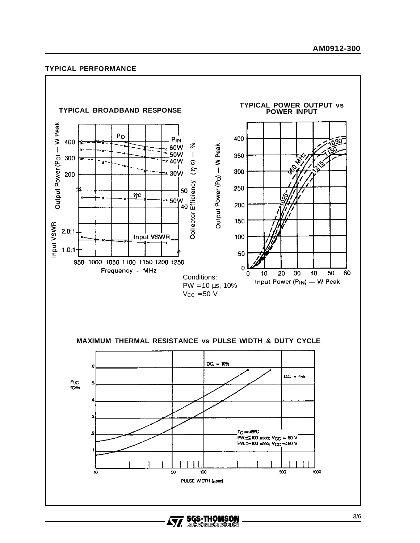#### **AM0912-300**

#### **TYPICAL PERFORMANCE**



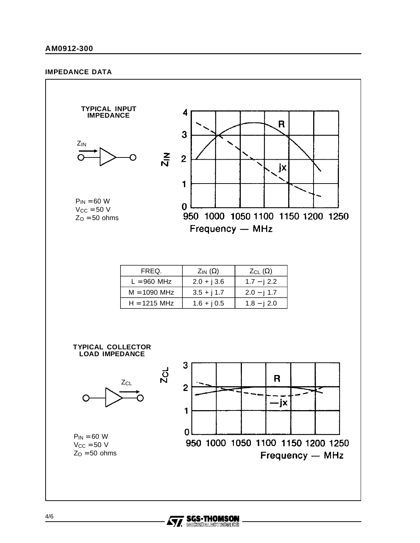#### **IMPEDANCE DATA**



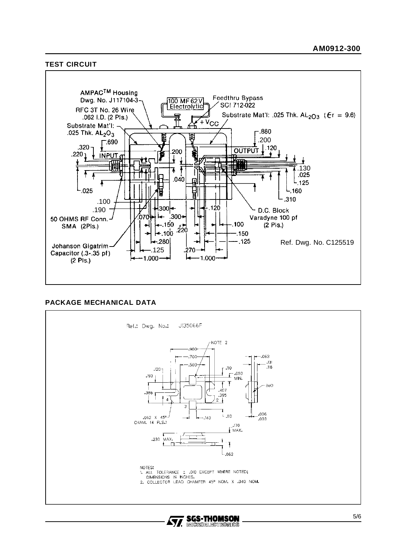#### **TEST CIRCUIT**



#### **PACKAGE MECHANICAL DATA**



57.